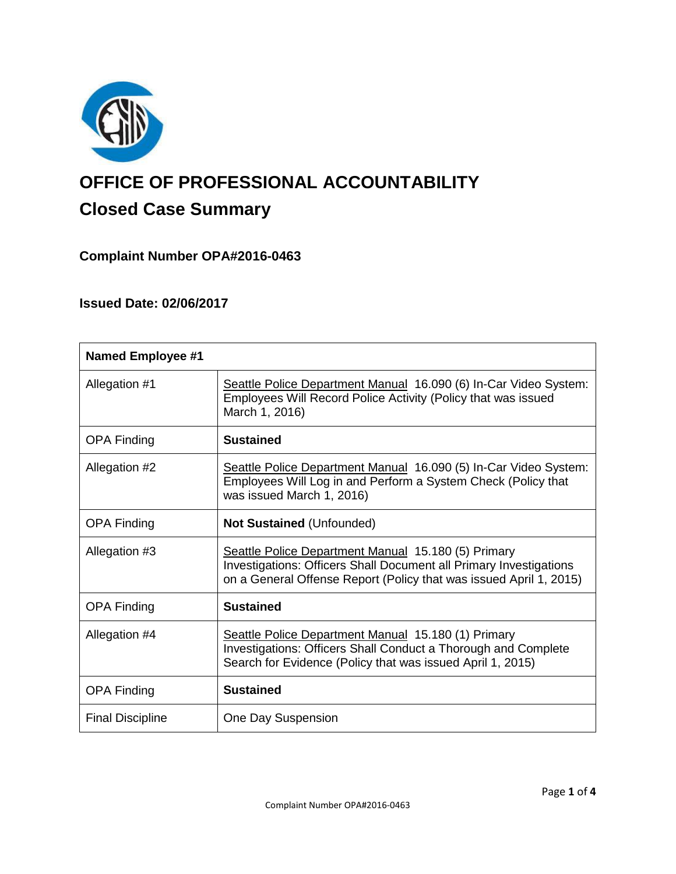

# **OFFICE OF PROFESSIONAL ACCOUNTABILITY Closed Case Summary**

# **Complaint Number OPA#2016-0463**

# **Issued Date: 02/06/2017**

| <b>Named Employee #1</b> |                                                                                                                                                                                                        |
|--------------------------|--------------------------------------------------------------------------------------------------------------------------------------------------------------------------------------------------------|
| Allegation #1            | Seattle Police Department Manual 16.090 (6) In-Car Video System:<br>Employees Will Record Police Activity (Policy that was issued<br>March 1, 2016)                                                    |
| <b>OPA Finding</b>       | <b>Sustained</b>                                                                                                                                                                                       |
| Allegation #2            | Seattle Police Department Manual 16.090 (5) In-Car Video System:<br>Employees Will Log in and Perform a System Check (Policy that<br>was issued March 1, 2016)                                         |
| <b>OPA Finding</b>       | <b>Not Sustained (Unfounded)</b>                                                                                                                                                                       |
| Allegation #3            | Seattle Police Department Manual 15.180 (5) Primary<br><b>Investigations: Officers Shall Document all Primary Investigations</b><br>on a General Offense Report (Policy that was issued April 1, 2015) |
| <b>OPA Finding</b>       | <b>Sustained</b>                                                                                                                                                                                       |
| Allegation #4            | Seattle Police Department Manual 15.180 (1) Primary<br>Investigations: Officers Shall Conduct a Thorough and Complete<br>Search for Evidence (Policy that was issued April 1, 2015)                    |
| <b>OPA Finding</b>       | <b>Sustained</b>                                                                                                                                                                                       |
| <b>Final Discipline</b>  | One Day Suspension                                                                                                                                                                                     |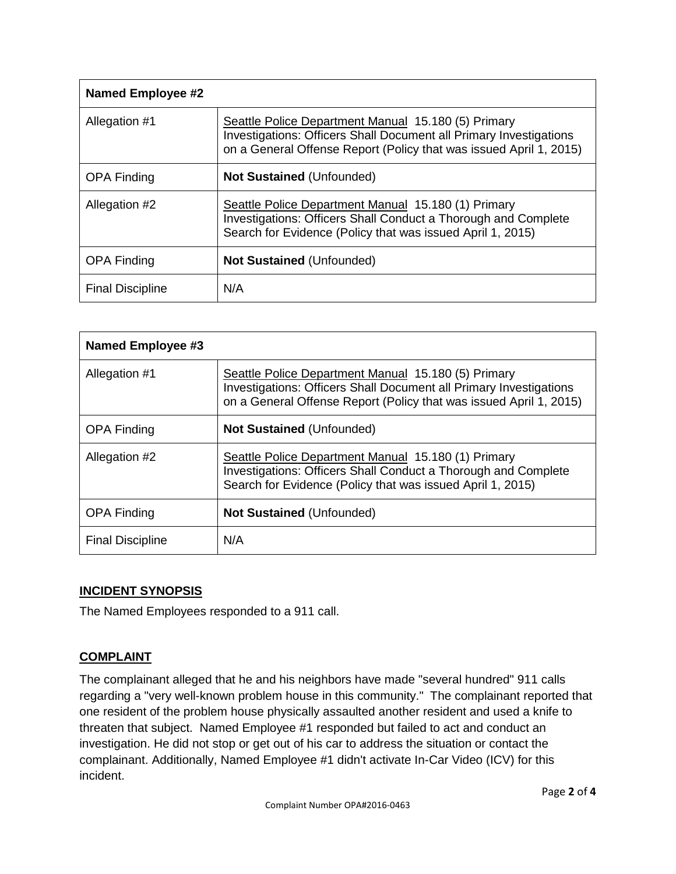| <b>Named Employee #2</b> |                                                                                                                                                                                                        |
|--------------------------|--------------------------------------------------------------------------------------------------------------------------------------------------------------------------------------------------------|
| Allegation #1            | Seattle Police Department Manual 15.180 (5) Primary<br><b>Investigations: Officers Shall Document all Primary Investigations</b><br>on a General Offense Report (Policy that was issued April 1, 2015) |
| <b>OPA Finding</b>       | <b>Not Sustained (Unfounded)</b>                                                                                                                                                                       |
| Allegation #2            | Seattle Police Department Manual 15.180 (1) Primary<br>Investigations: Officers Shall Conduct a Thorough and Complete<br>Search for Evidence (Policy that was issued April 1, 2015)                    |
| <b>OPA Finding</b>       | <b>Not Sustained (Unfounded)</b>                                                                                                                                                                       |
| <b>Final Discipline</b>  | N/A                                                                                                                                                                                                    |

| <b>Named Employee #3</b> |                                                                                                                                                                                                        |
|--------------------------|--------------------------------------------------------------------------------------------------------------------------------------------------------------------------------------------------------|
| Allegation #1            | Seattle Police Department Manual 15.180 (5) Primary<br><b>Investigations: Officers Shall Document all Primary Investigations</b><br>on a General Offense Report (Policy that was issued April 1, 2015) |
| <b>OPA Finding</b>       | <b>Not Sustained (Unfounded)</b>                                                                                                                                                                       |
| Allegation #2            | Seattle Police Department Manual 15.180 (1) Primary<br>Investigations: Officers Shall Conduct a Thorough and Complete<br>Search for Evidence (Policy that was issued April 1, 2015)                    |
| <b>OPA Finding</b>       | <b>Not Sustained (Unfounded)</b>                                                                                                                                                                       |
| <b>Final Discipline</b>  | N/A                                                                                                                                                                                                    |

# **INCIDENT SYNOPSIS**

The Named Employees responded to a 911 call.

# **COMPLAINT**

The complainant alleged that he and his neighbors have made "several hundred" 911 calls regarding a "very well-known problem house in this community." The complainant reported that one resident of the problem house physically assaulted another resident and used a knife to threaten that subject. Named Employee #1 responded but failed to act and conduct an investigation. He did not stop or get out of his car to address the situation or contact the complainant. Additionally, Named Employee #1 didn't activate In-Car Video (ICV) for this incident.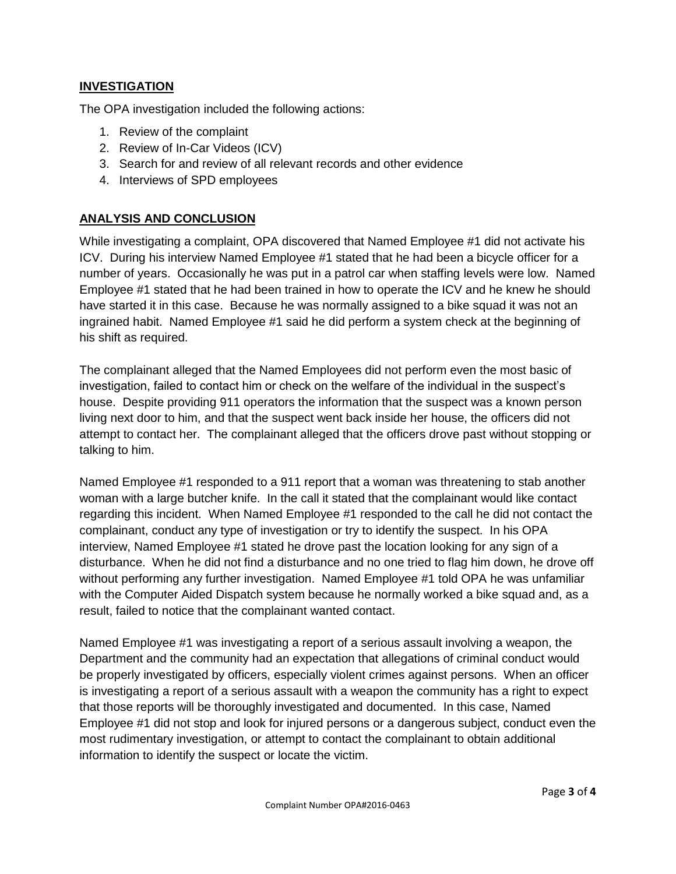### **INVESTIGATION**

The OPA investigation included the following actions:

- 1. Review of the complaint
- 2. Review of In-Car Videos (ICV)
- 3. Search for and review of all relevant records and other evidence
- 4. Interviews of SPD employees

### **ANALYSIS AND CONCLUSION**

While investigating a complaint, OPA discovered that Named Employee #1 did not activate his ICV. During his interview Named Employee #1 stated that he had been a bicycle officer for a number of years. Occasionally he was put in a patrol car when staffing levels were low. Named Employee #1 stated that he had been trained in how to operate the ICV and he knew he should have started it in this case. Because he was normally assigned to a bike squad it was not an ingrained habit. Named Employee #1 said he did perform a system check at the beginning of his shift as required.

The complainant alleged that the Named Employees did not perform even the most basic of investigation, failed to contact him or check on the welfare of the individual in the suspect's house. Despite providing 911 operators the information that the suspect was a known person living next door to him, and that the suspect went back inside her house, the officers did not attempt to contact her. The complainant alleged that the officers drove past without stopping or talking to him.

Named Employee #1 responded to a 911 report that a woman was threatening to stab another woman with a large butcher knife. In the call it stated that the complainant would like contact regarding this incident. When Named Employee #1 responded to the call he did not contact the complainant, conduct any type of investigation or try to identify the suspect. In his OPA interview, Named Employee #1 stated he drove past the location looking for any sign of a disturbance. When he did not find a disturbance and no one tried to flag him down, he drove off without performing any further investigation. Named Employee #1 told OPA he was unfamiliar with the Computer Aided Dispatch system because he normally worked a bike squad and, as a result, failed to notice that the complainant wanted contact.

Named Employee #1 was investigating a report of a serious assault involving a weapon, the Department and the community had an expectation that allegations of criminal conduct would be properly investigated by officers, especially violent crimes against persons. When an officer is investigating a report of a serious assault with a weapon the community has a right to expect that those reports will be thoroughly investigated and documented. In this case, Named Employee #1 did not stop and look for injured persons or a dangerous subject, conduct even the most rudimentary investigation, or attempt to contact the complainant to obtain additional information to identify the suspect or locate the victim.